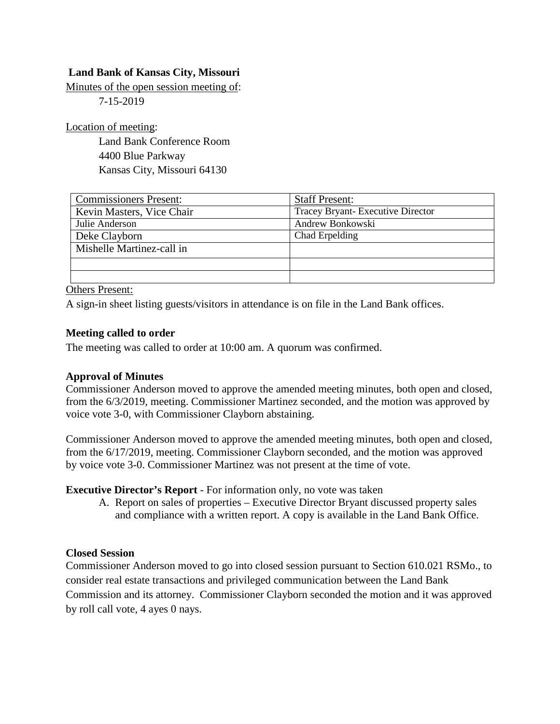# **Land Bank of Kansas City, Missouri**

Minutes of the open session meeting of:

7-15-2019

Location of meeting:

Land Bank Conference Room 4400 Blue Parkway Kansas City, Missouri 64130

| <b>Commissioners Present:</b> | <b>Staff Present:</b>            |
|-------------------------------|----------------------------------|
| Kevin Masters, Vice Chair     | Tracey Bryant-Executive Director |
| Julie Anderson                | Andrew Bonkowski                 |
| Deke Clayborn                 | Chad Erpelding                   |
| Mishelle Martinez-call in     |                                  |
|                               |                                  |
|                               |                                  |

Others Present:

A sign-in sheet listing guests/visitors in attendance is on file in the Land Bank offices.

### **Meeting called to order**

The meeting was called to order at 10:00 am. A quorum was confirmed.

#### **Approval of Minutes**

Commissioner Anderson moved to approve the amended meeting minutes, both open and closed, from the 6/3/2019, meeting. Commissioner Martinez seconded, and the motion was approved by voice vote 3-0, with Commissioner Clayborn abstaining.

Commissioner Anderson moved to approve the amended meeting minutes, both open and closed, from the 6/17/2019, meeting. Commissioner Clayborn seconded, and the motion was approved by voice vote 3-0. Commissioner Martinez was not present at the time of vote.

**Executive Director's Report** - For information only, no vote was taken

A. Report on sales of properties – Executive Director Bryant discussed property sales and compliance with a written report. A copy is available in the Land Bank Office.

## **Closed Session**

Commissioner Anderson moved to go into closed session pursuant to Section 610.021 RSMo., to consider real estate transactions and privileged communication between the Land Bank Commission and its attorney. Commissioner Clayborn seconded the motion and it was approved by roll call vote, 4 ayes 0 nays.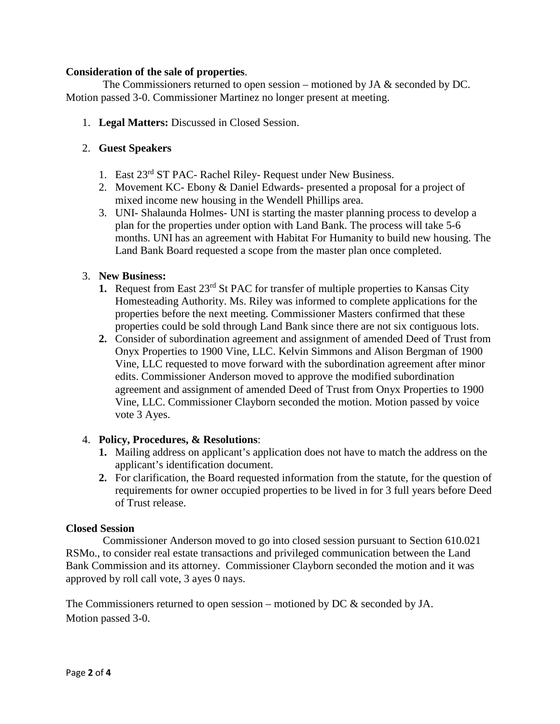## **Consideration of the sale of properties**.

The Commissioners returned to open session – motioned by JA & seconded by DC. Motion passed 3-0. Commissioner Martinez no longer present at meeting.

1. **Legal Matters:** Discussed in Closed Session.

## 2. **Guest Speakers**

- 1. East 23rd ST PAC- Rachel Riley- Request under New Business.
- 2. Movement KC- Ebony & Daniel Edwards- presented a proposal for a project of mixed income new housing in the Wendell Phillips area.
- 3. UNI- Shalaunda Holmes- UNI is starting the master planning process to develop a plan for the properties under option with Land Bank. The process will take 5-6 months. UNI has an agreement with Habitat For Humanity to build new housing. The Land Bank Board requested a scope from the master plan once completed.

## 3. **New Business:**

- **1.** Request from East 23<sup>rd</sup> St PAC for transfer of multiple properties to Kansas City Homesteading Authority. Ms. Riley was informed to complete applications for the properties before the next meeting. Commissioner Masters confirmed that these properties could be sold through Land Bank since there are not six contiguous lots.
- **2.** Consider of subordination agreement and assignment of amended Deed of Trust from Onyx Properties to 1900 Vine, LLC. Kelvin Simmons and Alison Bergman of 1900 Vine, LLC requested to move forward with the subordination agreement after minor edits. Commissioner Anderson moved to approve the modified subordination agreement and assignment of amended Deed of Trust from Onyx Properties to 1900 Vine, LLC. Commissioner Clayborn seconded the motion. Motion passed by voice vote 3 Ayes.

# 4. **Policy, Procedures, & Resolutions**:

- **1.** Mailing address on applicant's application does not have to match the address on the applicant's identification document.
- **2.** For clarification, the Board requested information from the statute, for the question of requirements for owner occupied properties to be lived in for 3 full years before Deed of Trust release.

## **Closed Session**

Commissioner Anderson moved to go into closed session pursuant to Section 610.021 RSMo., to consider real estate transactions and privileged communication between the Land Bank Commission and its attorney. Commissioner Clayborn seconded the motion and it was approved by roll call vote, 3 ayes 0 nays.

The Commissioners returned to open session – motioned by DC  $\&$  seconded by JA. Motion passed 3-0.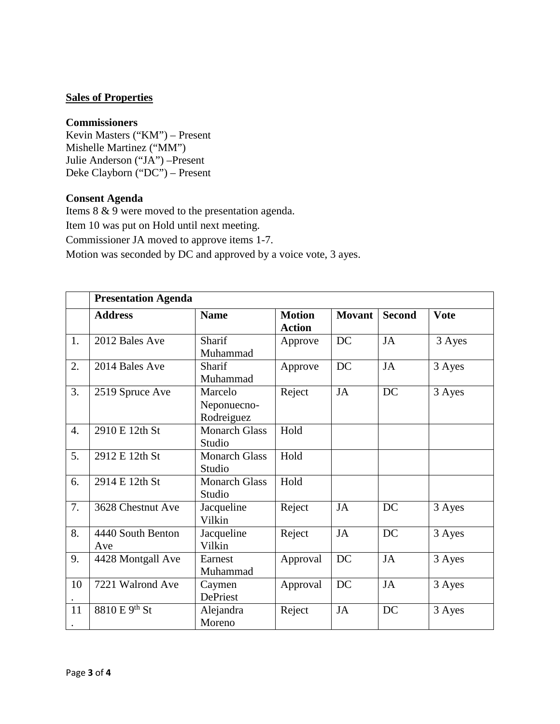# **Sales of Properties**

### **Commissioners**

Kevin Masters ("KM") – Present Mishelle Martinez ("MM") Julie Anderson ("JA") –Present Deke Clayborn ("DC") – Present

### **Consent Agenda**

Items 8 & 9 were moved to the presentation agenda. Item 10 was put on Hold until next meeting. Commissioner JA moved to approve items 1-7. Motion was seconded by DC and approved by a voice vote, 3 ayes.

|                  | <b>Presentation Agenda</b> |                                      |                                |               |               |             |
|------------------|----------------------------|--------------------------------------|--------------------------------|---------------|---------------|-------------|
|                  | <b>Address</b>             | <b>Name</b>                          | <b>Motion</b><br><b>Action</b> | <b>Movant</b> | <b>Second</b> | <b>Vote</b> |
| 1.               | 2012 Bales Ave             | Sharif<br>Muhammad                   | Approve                        | DC            | <b>JA</b>     | 3 Ayes      |
| 2.               | 2014 Bales Ave             | Sharif<br>Muhammad                   | Approve                        | DC            | JA            | 3 Ayes      |
| 3.               | 2519 Spruce Ave            | Marcelo<br>Neponuecno-<br>Rodreiguez | Reject                         | JA            | <b>DC</b>     | 3 Ayes      |
| $\overline{4}$ . | 2910 E 12th St             | <b>Monarch Glass</b><br>Studio       | Hold                           |               |               |             |
| 5.               | 2912 E 12th St             | <b>Monarch Glass</b><br>Studio       | Hold                           |               |               |             |
| 6.               | 2914 E 12th St             | <b>Monarch Glass</b><br>Studio       | Hold                           |               |               |             |
| 7.               | 3628 Chestnut Ave          | Jacqueline<br>Vilkin                 | Reject                         | <b>JA</b>     | DC            | 3 Ayes      |
| 8.               | 4440 South Benton<br>Ave   | Jacqueline<br>Vilkin                 | Reject                         | JA            | <b>DC</b>     | 3 Ayes      |
| 9.               | 4428 Montgall Ave          | Earnest<br>Muhammad                  | Approval                       | DC            | JA            | 3 Ayes      |
| 10               | 7221 Walrond Ave           | Caymen<br>DePriest                   | Approval                       | DC            | JA            | 3 Ayes      |
| 11               | 8810 E 9 <sup>th</sup> St  | Alejandra<br>Moreno                  | Reject                         | JA            | DC            | 3 Ayes      |